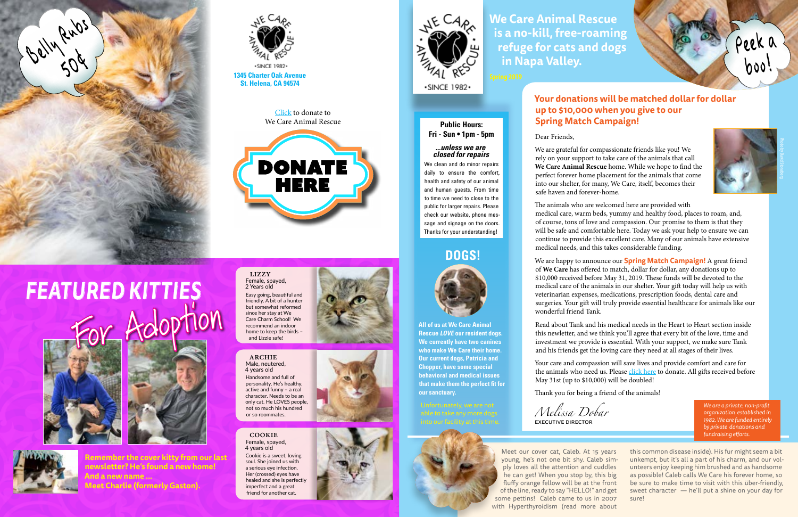Meet our cover cat, Caleb. At 15 years young, he's not one bit shy. Caleb simply loves all the attention and cuddles he can get! When you stop by, this big fluffy orange fellow will be at the front of the line, ready to say "HELLO!" and get some pettins! Caleb came to us in 2007 with Hyperthyroidism (read more about

this common disease inside). His fur might seem a bit unkempt, but it's all a part of his charm, and our volunteers enjoy keeping him brushed and as handsome as possible! Caleb calls We Care his forever home, so be sure to make time to visit with this über-friendly, sweet character — he'll put a shine on your day for sure!

#### **Your donations will be matched dollar for dollar up to \$10,000 when you give to our Spring Match Campaign!**

Dear Friends,

We are grateful for compassionate friends like you! We rely on your support to take care of the animals that call **We Care Animal Rescue** home. While we hope to find the perfect forever home placement for the animals that come into our shelter, for many, We Care, itself, becomes their



safe haven and forever-home.

The animals who are welcomed here are provided with

*FEATURED KITTIES* by Adoption





medical care, warm beds, yummy and healthy food, places to roam, and, of course, tons of love and compassion. Our promise to them is that they will be safe and comfortable here. Today we ask your help to ensure we can continue to provide this excellent care. Many of our animals have extensive medical needs, and this takes considerable funding.

We are happy to announce our **Spring Match Campaign!** A great friend of **We Care** has offered to match, dollar for dollar, any donations up to \$10,000 received before May 31, 2019. These funds will be devoted to the medical care of the animals in our shelter. Your gift today will help us with veterinarian expenses, medications, prescription foods, dental care and surgeries. Your gift will truly provide essential healthcare for animals like our wonderful friend Tank.

Read about Tank and his medical needs in the Heart to Heart section inside this newletter, and we think you'll agree that every bit of the love, time and investment we provide is essential. With your support, we make sure Tank and his friends get the loving care they need at all stages of their lives.

Your care and compassion will save lives and provide comfort and care for the animals who need us. Please [click here](http://wecareanimalrescue.org/donate) to donate. All gifts received before May 31st (up to \$10,000) will be doubled!

Thank you for being a friend of the animals!

lizzy

2 Years old



archie Male, neutered, 4 years old Handsome and full of personality. He's healthy, active and funny – a real character. Needs to be an only cat. He LOVES people, not so much his hundred or so roommates.

cookie Female, spayed, 4 years old

Cookie is a sweet, loving soul. She joined us with a serious eye infection. Her (crossed) eyes have healed and she is perfectly imperfect and a great friend for another cat.





**We Care Animal Rescue is a no-kill, free-roaming refuge for cats and dogs in Napa Valley.**

*We are a private, non-profit organization established in 1982. We are funded entirely by private donations and fundraising efforts.*

*Melissa Dobar* executive director

**Remember the cover kitty from our last newsletter? He's found a new home! And a new name ... Meet Charlie (formerly Gaston).**

### **DOGS!**



**All of us at We Care Animal Rescue** *LOVE* **our resident dogs. We currently have two canines who make We Care their home. Our current dogs, Patricia and Chopper, have some special behavioral and medical issues that make them the perfect fit for our sanctuary.** 



#### **Public Hours: Fri - Sun • 1pm - 5pm**

#### *...unless we are closed for repairs*

We clean and do minor repairs daily to ensure the comfort, health and safety of our animal and human guests. From time to time we need to close to the public for larger repairs. Please check our website, phone message and signage on the doors. Thanks for your understanding!

[Click](http://wecareanimalrescue.org/donate) to donate to We Care Animal Rescue







**1345 Charter Oak Avenue**<br> **1345 Charter Oak Avenue**<br> **1345 Charter Oak Avenue**<br> **1345 Charter Oak Avenue**<br> **1345 Charter Oak Avenue** 

Peek a

boo!